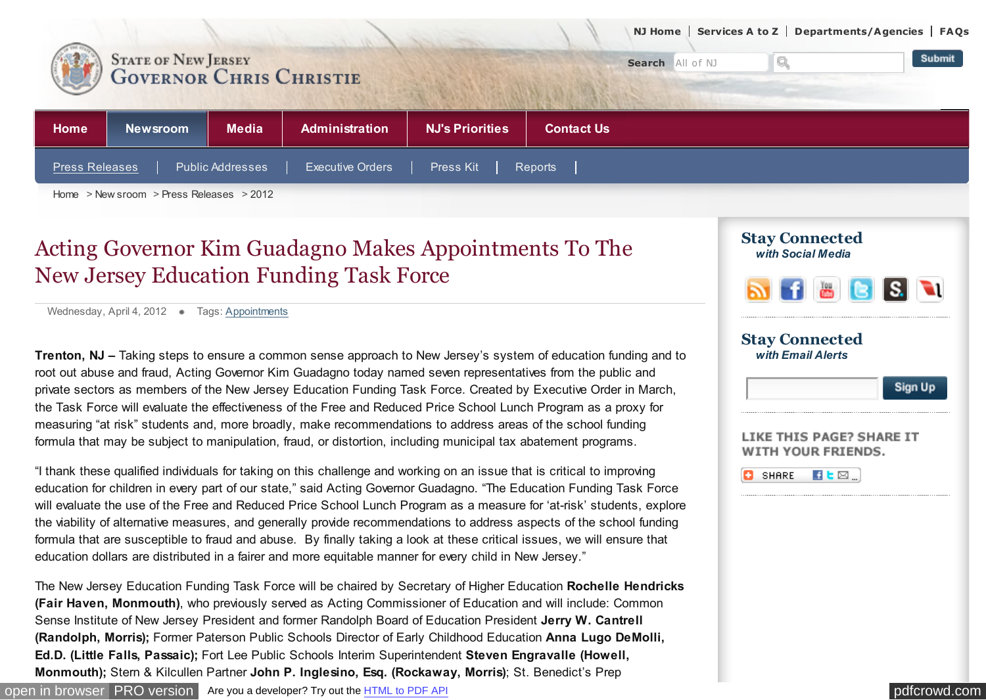

## Acting Governor Kim Guadagno Makes Appointments To The New Jersey Education Funding Task Force

Wednesday, April 4, 2012 Tags: [Appointments](http://www.state.nj.us/governor/news/news/552012/approved/includes/result.shtml?cat=appo)

**Trenton, NJ –** Taking steps to ensure a common sense approach to New Jersey's system of education funding and to root out abuse and fraud, Acting Governor Kim Guadagno today named seven representatives from the public and private sectors as members of the New Jersey Education Funding Task Force. Created by Executive Order in March, the Task Force will evaluate the effectiveness of the Free and Reduced Price School Lunch Program as a proxy for measuring "at risk" students and, more broadly, make recommendations to address areas of the school funding formula that may be subject to manipulation, fraud, or distortion, including municipal tax abatement programs.

"I thank these qualified individuals for taking on this challenge and working on an issue that is critical to improving education for children in every part of our state," said Acting Governor Guadagno. "The Education Funding Task Force will evaluate the use of the Free and Reduced Price School Lunch Program as a measure for 'at-risk' students, explore the viability of alternative measures, and generally provide recommendations to address aspects of the school funding formula that are susceptible to fraud and abuse. By finally taking a look at these critical issues, we will ensure that education dollars are distributed in a fairer and more equitable manner for every child in New Jersey."

The New Jersey Education Funding Task Force will be chaired by Secretary of Higher Education **Rochelle Hendricks (Fair Haven, Monmouth)**, who previously served as Acting Commissioner of Education and will include: Common Sense Institute of New Jersey President and former Randolph Board of Education President **Jerry W. Cantrell (Randolph, Morris);** Former Paterson Public Schools Director of Early Childhood Education **Anna Lugo DeMolli, Ed.D. (Little Falls, Passaic);** Fort Lee Public Schools Interim Superintendent **Steven Engravalle (Howell, Monmouth);** Stern & Kilcullen Partner **John P. Inglesino, Esq. (Rockaway, Morris)**; St. Benedict's Prep

| <b>Stay Connected</b><br>with Email Alerts |  |
|--------------------------------------------|--|
|                                            |  |

*with Social Media* **Stay Connected**

| LIKE THIS PAGE? SHARE IT |  |  |
|--------------------------|--|--|
| WITH YOUR FRIENDS.       |  |  |

|  | SHARE |  |
|--|-------|--|
|--|-------|--|

**Sign Up**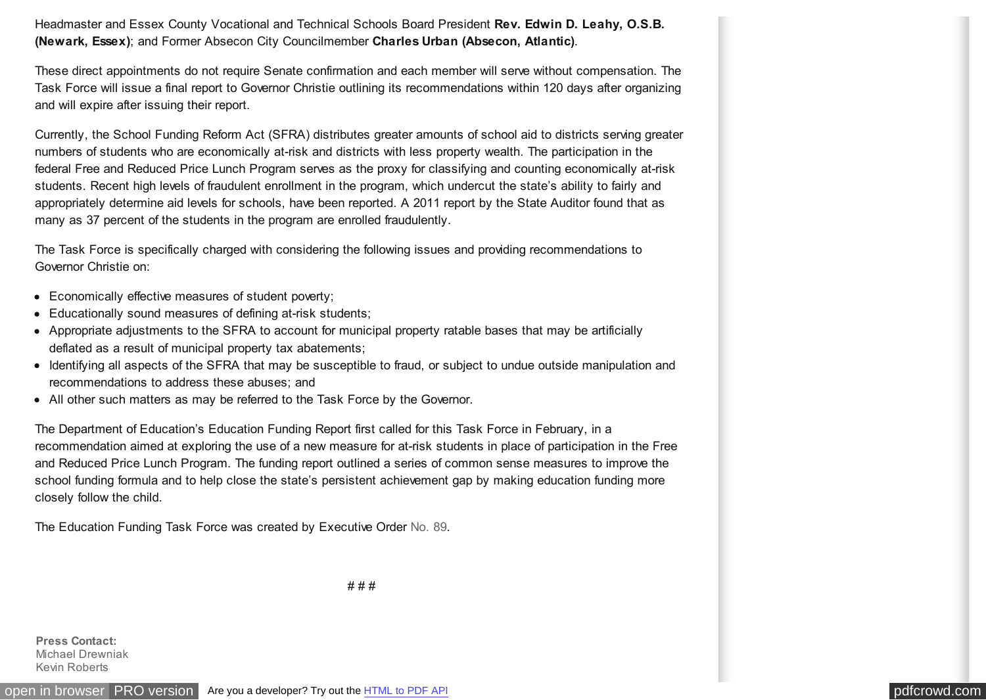Headmaster and Essex County Vocational and Technical Schools Board President **Rev. Edwin D. Leahy, O.S.B. (Newark, Essex)**; and Former Absecon City Councilmember **Charles Urban (Absecon, Atlantic)**.

These direct appointments do not require Senate confirmation and each member will serve without compensation. The Task Force will issue a final report to Governor Christie outlining its recommendations within 120 days after organizing and will expire after issuing their report.

Currently, the School Funding Reform Act (SFRA) distributes greater amounts of school aid to districts serving greater numbers of students who are economically at-risk and districts with less property wealth. The participation in the federal Free and Reduced Price Lunch Program serves as the proxy for classifying and counting economically at-risk students. Recent high levels of fraudulent enrollment in the program, which undercut the state's ability to fairly and appropriately determine aid levels for schools, have been reported. A 2011 report by the State Auditor found that as many as 37 percent of the students in the program are enrolled fraudulently.

The Task Force is specifically charged with considering the following issues and providing recommendations to Governor Christie on:

- Economically effective measures of student poverty;
- Educationally sound measures of defining at-risk students;
- Appropriate adjustments to the SFRA to account for municipal property ratable bases that may be artificially deflated as a result of municipal property tax abatements;
- Identifying all aspects of the SFRA that may be susceptible to fraud, or subject to undue outside manipulation and recommendations to address these abuses; and
- All other such matters as may be referred to the Task Force by the Governor.

The Department of Education's Education Funding Report first called for this Task Force in February, in a recommendation aimed at exploring the use of a new measure for at-risk students in place of participation in the Free and Reduced Price Lunch Program. The funding report outlined a series of common sense measures to improve the school funding formula and to help close the state's persistent achievement gap by making education funding more closely follow the child.

The Education Funding Task Force was created by Executive Order [No. 89.](http://nj.gov/infobank/circular/eocc89.pdf)

# # #

**Press Contact:**  Michael Drewniak Kevin Roberts